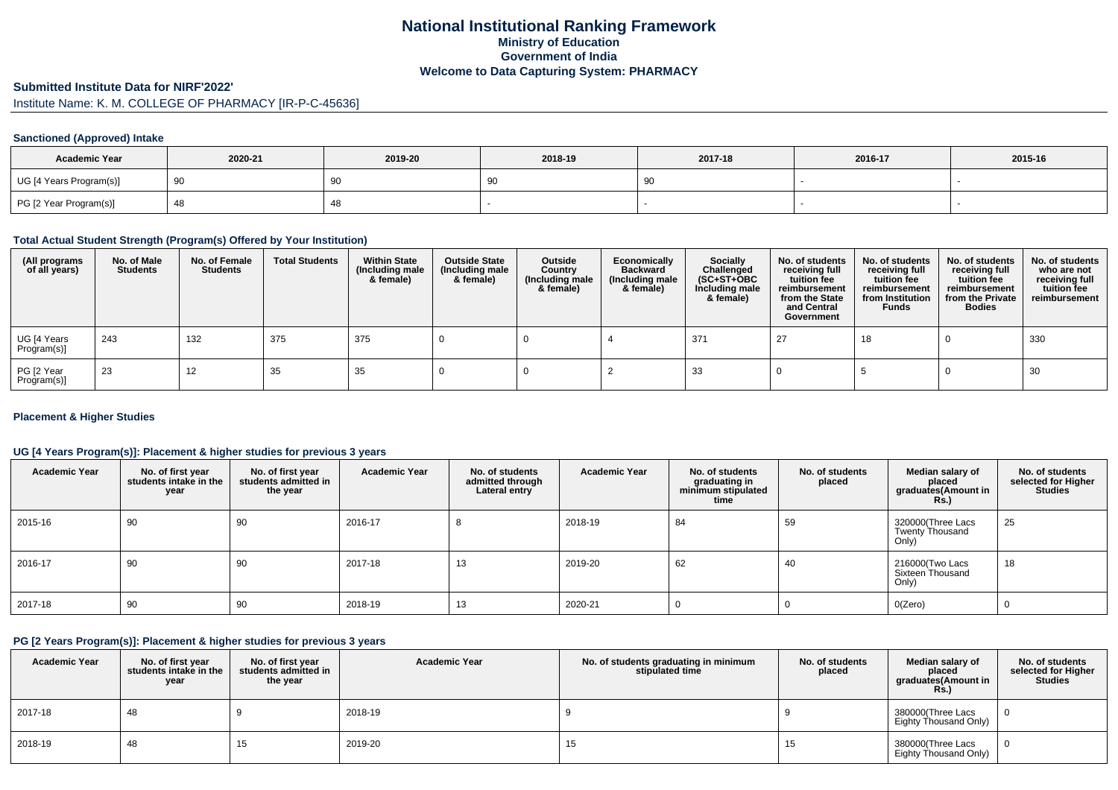# **National Institutional Ranking FrameworkMinistry of Education Government of IndiaWelcome to Data Capturing System: PHARMACY**

#### **Submitted Institute Data for NIRF'2022'**

# Institute Name: K. M. COLLEGE OF PHARMACY [IR-P-C-45636]

## **Sanctioned (Approved) Intake**

| <b>Academic Year</b>    | 2020-21 | 2019-20 | 2018-19 | 2017-18 | 2016-17 | 2015-16 |
|-------------------------|---------|---------|---------|---------|---------|---------|
| UG [4 Years Program(s)] |         | 90      | っこ      |         |         |         |
| PG [2 Year Program(s)]  |         | 40      |         |         |         |         |

#### **Total Actual Student Strength (Program(s) Offered by Your Institution)**

| (All programs<br>of all years) | No. of Male<br><b>Students</b> | No. of Female<br><b>Students</b> | <b>Total Students</b> | <b>Within State</b><br>(Including male<br>& female) | <b>Outside State</b><br>(Including male<br>& female) | Outside<br>Country<br>(Including male<br>& female) | Economically<br><b>Backward</b><br>(Including male<br>& female) | <b>Socially</b><br>Challenged<br>$(SC+ST+OBC)$<br>Including male<br>& female) | No. of students<br>receiving full<br>tuition fee<br>reimbursement<br>from the State<br>and Central<br>Government | No. of students<br>receiving full<br>tuition fee<br>reimbursement<br>from Institution<br><b>Funds</b> | No. of students<br>receiving full<br>tuition fee<br>reimbursement<br>from the Private<br><b>Bodies</b> | No. of students<br>who are not<br>receiving full<br>tuition fee<br>reimbursement |
|--------------------------------|--------------------------------|----------------------------------|-----------------------|-----------------------------------------------------|------------------------------------------------------|----------------------------------------------------|-----------------------------------------------------------------|-------------------------------------------------------------------------------|------------------------------------------------------------------------------------------------------------------|-------------------------------------------------------------------------------------------------------|--------------------------------------------------------------------------------------------------------|----------------------------------------------------------------------------------|
| UG [4 Years<br>Program(s)]     | 243                            | 132                              | 375                   | 375                                                 |                                                      |                                                    |                                                                 | 371                                                                           | רפ                                                                                                               | 18                                                                                                    |                                                                                                        | 330                                                                              |
| PG [2 Year<br>Program(s)]      | -23                            | 12                               | 35                    | 35                                                  |                                                      |                                                    |                                                                 | 33                                                                            |                                                                                                                  |                                                                                                       |                                                                                                        | 30                                                                               |

## **Placement & Higher Studies**

# **UG [4 Years Program(s)]: Placement & higher studies for previous 3 years**

| <b>Academic Year</b> | No. of first year<br>students intake in the<br>year | No. of first vear<br>students admitted in<br>the year | <b>Academic Year</b> | No. of students<br>admitted through<br>Lateral entry | <b>Academic Year</b> | No. of students<br>graduating in<br>minimum stipulated<br>time | No. of students<br>placed | Median salary of<br>placed<br>graduates(Amount in<br><b>Rs.)</b> | No. of students<br>selected for Higher<br><b>Studies</b> |
|----------------------|-----------------------------------------------------|-------------------------------------------------------|----------------------|------------------------------------------------------|----------------------|----------------------------------------------------------------|---------------------------|------------------------------------------------------------------|----------------------------------------------------------|
| 2015-16              | 90                                                  | 90                                                    | 2016-17              |                                                      | 2018-19              | 84                                                             | 59                        | 320000(Three Lacs<br><b>Twenty Thousand</b><br>Only)             | 25                                                       |
| 2016-17              | 90                                                  | 90                                                    | 2017-18              | 13                                                   | 2019-20              | 62                                                             | 40                        | 216000(Two Lacs<br>Sixteen Thousand<br>Only)                     | 18                                                       |
| 2017-18              | 90                                                  | 90                                                    | 2018-19              | 13                                                   | 2020-21              |                                                                |                           | O(Zero)                                                          | 0                                                        |

#### **PG [2 Years Program(s)]: Placement & higher studies for previous 3 years**

| <b>Academic Year</b> | No. of first year<br>students intake in the<br>year | No. of first vear<br>students admitted in<br>the year | <b>Academic Year</b> | No. of students graduating in minimum<br>stipulated time | No. of students<br>placed | Median salary of<br>placed<br>graduates(Amount in<br><b>Rs.</b> ) | No. of students<br>selected for Higher<br><b>Studies</b> |
|----------------------|-----------------------------------------------------|-------------------------------------------------------|----------------------|----------------------------------------------------------|---------------------------|-------------------------------------------------------------------|----------------------------------------------------------|
| 2017-18              | 48                                                  |                                                       | 2018-19              |                                                          |                           | 380000(Three Lacs<br>Eighty Thousand Only)                        |                                                          |
| 2018-19              | 48                                                  | 15                                                    | 2019-20              | 15                                                       | 15                        | 380000(Three Lacs<br>Eighty Thousand Only)                        |                                                          |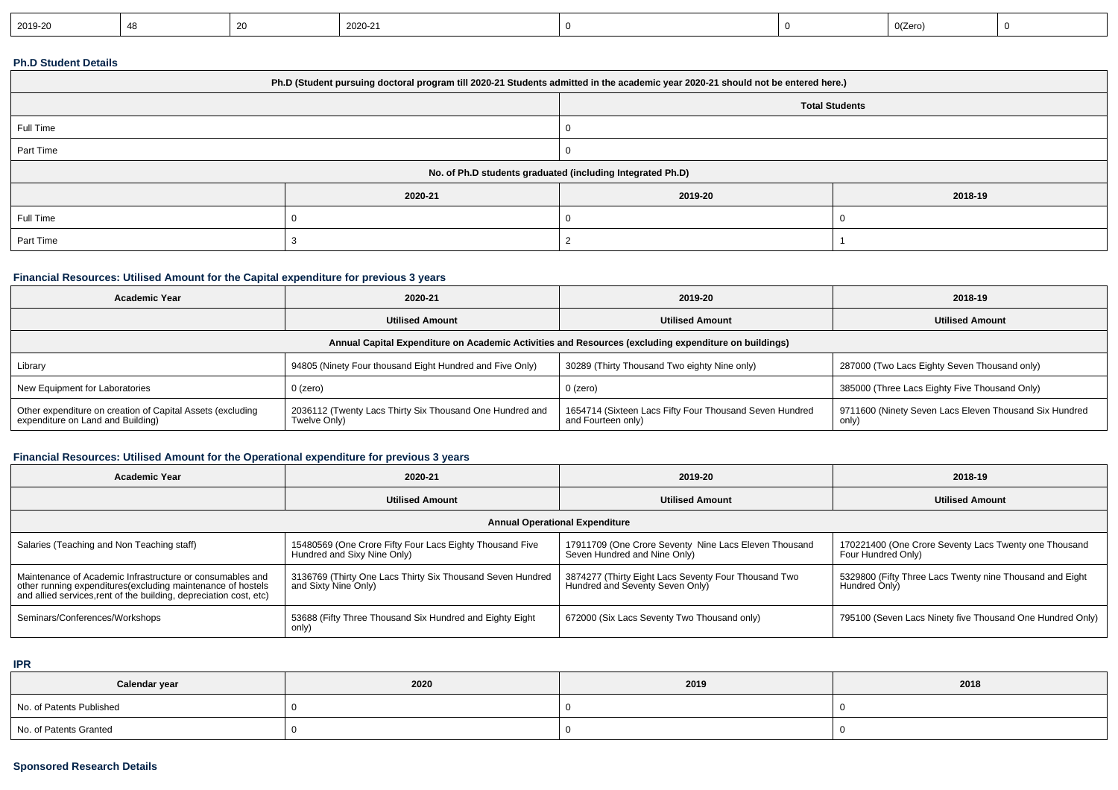| 2020-21<br>2019-20 | 0(Zero) |  |
|--------------------|---------|--|
|--------------------|---------|--|

#### **Ph.D Student Details**

| Ph.D (Student pursuing doctoral program till 2020-21 Students admitted in the academic year 2020-21 should not be entered here.) |         |                       |         |  |  |
|----------------------------------------------------------------------------------------------------------------------------------|---------|-----------------------|---------|--|--|
|                                                                                                                                  |         | <b>Total Students</b> |         |  |  |
| Full Time                                                                                                                        |         |                       |         |  |  |
| Part Time                                                                                                                        |         |                       |         |  |  |
| No. of Ph.D students graduated (including Integrated Ph.D)                                                                       |         |                       |         |  |  |
|                                                                                                                                  | 2020-21 | 2019-20               | 2018-19 |  |  |
| Full Time                                                                                                                        |         |                       |         |  |  |
| Part Time                                                                                                                        |         |                       |         |  |  |

## **Financial Resources: Utilised Amount for the Capital expenditure for previous 3 years**

| <b>Academic Year</b>                                                                                 | 2020-21                                                                  | 2019-20                                                                       | 2018-19                                                         |  |  |  |
|------------------------------------------------------------------------------------------------------|--------------------------------------------------------------------------|-------------------------------------------------------------------------------|-----------------------------------------------------------------|--|--|--|
|                                                                                                      | <b>Utilised Amount</b>                                                   | <b>Utilised Amount</b>                                                        | <b>Utilised Amount</b>                                          |  |  |  |
| Annual Capital Expenditure on Academic Activities and Resources (excluding expenditure on buildings) |                                                                          |                                                                               |                                                                 |  |  |  |
| Library                                                                                              | 94805 (Ninety Four thousand Eight Hundred and Five Only)                 | 30289 (Thirty Thousand Two eighty Nine only)                                  | 287000 (Two Lacs Eighty Seven Thousand only)                    |  |  |  |
| New Equipment for Laboratories                                                                       | 0 (zero)                                                                 | 0 (zero)                                                                      | 385000 (Three Lacs Eighty Five Thousand Only)                   |  |  |  |
| Other expenditure on creation of Capital Assets (excluding<br>expenditure on Land and Building)      | 2036112 (Twenty Lacs Thirty Six Thousand One Hundred and<br>Twelve Only) | 1654714 (Sixteen Lacs Fifty Four Thousand Seven Hundred<br>and Fourteen only) | 9711600 (Ninety Seven Lacs Eleven Thousand Six Hundred<br>only) |  |  |  |

# **Financial Resources: Utilised Amount for the Operational expenditure for previous 3 years**

| <b>Academic Year</b>                                                                                                                                                                            | 2020-21                                                                                 | 2019-20                                                                                 | 2018-19                                                                     |  |  |  |
|-------------------------------------------------------------------------------------------------------------------------------------------------------------------------------------------------|-----------------------------------------------------------------------------------------|-----------------------------------------------------------------------------------------|-----------------------------------------------------------------------------|--|--|--|
|                                                                                                                                                                                                 | <b>Utilised Amount</b>                                                                  | <b>Utilised Amount</b>                                                                  | <b>Utilised Amount</b>                                                      |  |  |  |
| <b>Annual Operational Expenditure</b>                                                                                                                                                           |                                                                                         |                                                                                         |                                                                             |  |  |  |
| Salaries (Teaching and Non Teaching staff)                                                                                                                                                      | 15480569 (One Crore Fifty Four Lacs Eighty Thousand Five<br>Hundred and Sixy Nine Only) | 17911709 (One Crore Seventy Nine Lacs Eleven Thousand<br>Seven Hundred and Nine Only)   | 170221400 (One Crore Seventy Lacs Twenty one Thousand<br>Four Hundred Only) |  |  |  |
| Maintenance of Academic Infrastructure or consumables and<br>other running expenditures (excluding maintenance of hostels<br>and allied services, rent of the building, depreciation cost, etc) | 3136769 (Thirty One Lacs Thirty Six Thousand Seven Hundred<br>and Sixty Nine Only)      | 3874277 (Thirty Eight Lacs Seventy Four Thousand Two<br>Hundred and Seventy Seven Only) | 5329800 (Fifty Three Lacs Twenty nine Thousand and Eight<br>Hundred Only    |  |  |  |
| Seminars/Conferences/Workshops                                                                                                                                                                  | 53688 (Fifty Three Thousand Six Hundred and Eighty Eight<br>only)                       | 672000 (Six Lacs Seventy Two Thousand only)                                             | 795100 (Seven Lacs Ninety five Thousand One Hundred Only)                   |  |  |  |

**IPR**

| Calendar year            | 2020 | 2019 | 2018 |
|--------------------------|------|------|------|
| No. of Patents Published |      |      |      |
| No. of Patents Granted   |      |      |      |

# **Sponsored Research Details**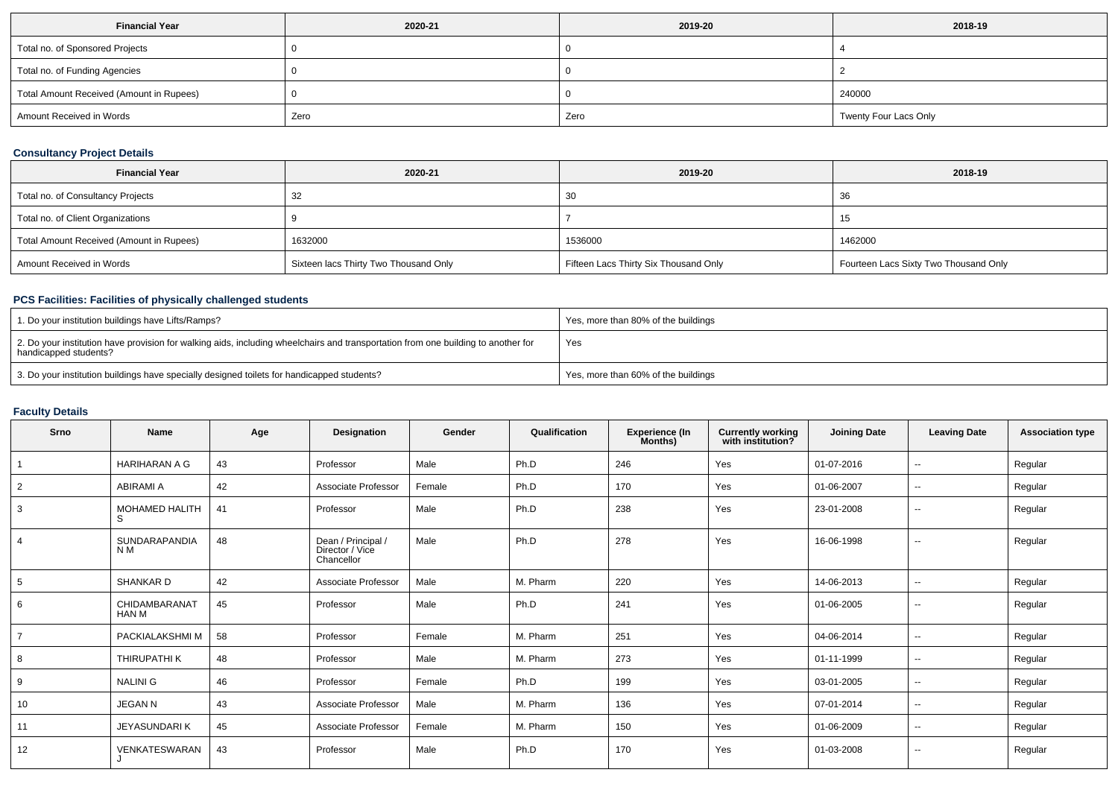| <b>Financial Year</b>                    | 2020-21 | 2019-20 | 2018-19               |
|------------------------------------------|---------|---------|-----------------------|
| Total no. of Sponsored Projects          |         |         |                       |
| Total no. of Funding Agencies            |         |         |                       |
| Total Amount Received (Amount in Rupees) |         |         | 240000                |
| Amount Received in Words                 | Zero    | Zero    | Twenty Four Lacs Only |

# **Consultancy Project Details**

| <b>Financial Year</b>                    | 2020-21                               | 2019-20                               | 2018-19                               |
|------------------------------------------|---------------------------------------|---------------------------------------|---------------------------------------|
| Total no. of Consultancy Projects        | 32                                    | 30                                    | 36                                    |
| Total no. of Client Organizations        |                                       |                                       | 15                                    |
| Total Amount Received (Amount in Rupees) | 1632000                               | 1536000                               | 1462000                               |
| Amount Received in Words                 | Sixteen lacs Thirty Two Thousand Only | Fifteen Lacs Thirty Six Thousand Only | Fourteen Lacs Sixty Two Thousand Only |

## **PCS Facilities: Facilities of physically challenged students**

| 1. Do your institution buildings have Lifts/Ramps?                                                                                                         | Yes, more than 80% of the buildings |
|------------------------------------------------------------------------------------------------------------------------------------------------------------|-------------------------------------|
| 2. Do your institution have provision for walking aids, including wheelchairs and transportation from one building to another for<br>handicapped students? | Yes                                 |
| 3. Do your institution buildings have specially designed toilets for handicapped students?                                                                 | Yes, more than 60% of the buildings |

# **Faculty Details**

| Srno | Name                            | Age | Designation                                         | Gender | Qualification | <b>Experience (In</b><br>Months) | <b>Currently working</b><br>with institution? | <b>Joining Date</b> | <b>Leaving Date</b>      | <b>Association type</b> |
|------|---------------------------------|-----|-----------------------------------------------------|--------|---------------|----------------------------------|-----------------------------------------------|---------------------|--------------------------|-------------------------|
|      | <b>HARIHARAN A G</b>            | 43  | Professor                                           | Male   | Ph.D          | 246                              | Yes                                           | 01-07-2016          | $\sim$                   | Regular                 |
| 2    | <b>ABIRAMI A</b>                | 42  | Associate Professor                                 | Female | Ph.D          | 170                              | Yes                                           | 01-06-2007          | $\sim$                   | Regular                 |
| 3    | MOHAMED HALITH<br>S.            | 41  | Professor                                           | Male   | Ph.D          | 238                              | Yes                                           | 23-01-2008          | $\sim$                   | Regular                 |
| 4    | SUNDARAPANDIA<br>N <sub>M</sub> | 48  | Dean / Principal /<br>Director / Vice<br>Chancellor | Male   | Ph.D          | 278                              | Yes                                           | 16-06-1998          | $\overline{\phantom{a}}$ | Regular                 |
| 5    | <b>SHANKARD</b>                 | 42  | Associate Professor                                 | Male   | M. Pharm      | 220                              | Yes                                           | 14-06-2013          | $\sim$                   | Regular                 |
| 6    | CHIDAMBARANAT<br><b>HAN M</b>   | 45  | Professor                                           | Male   | Ph.D          | 241                              | Yes                                           | 01-06-2005          | $\sim$                   | Regular                 |
|      | PACKIALAKSHMI M                 | 58  | Professor                                           | Female | M. Pharm      | 251                              | Yes                                           | 04-06-2014          | $\sim$                   | Regular                 |
| 8    | THIRUPATHI K                    | 48  | Professor                                           | Male   | M. Pharm      | 273                              | Yes                                           | 01-11-1999          | $\sim$                   | Regular                 |
| 9    | <b>NALINI G</b>                 | 46  | Professor                                           | Female | Ph.D          | 199                              | Yes                                           | 03-01-2005          | $\sim$                   | Regular                 |
| 10   | <b>JEGAN N</b>                  | 43  | Associate Professor                                 | Male   | M. Pharm      | 136                              | Yes                                           | 07-01-2014          | $\sim$                   | Regular                 |
| 11   | <b>JEYASUNDARIK</b>             | 45  | Associate Professor                                 | Female | M. Pharm      | 150                              | Yes                                           | 01-06-2009          | $\sim$                   | Regular                 |
| 12   | VENKATESWARAN                   | 43  | Professor                                           | Male   | Ph.D          | 170                              | Yes                                           | 01-03-2008          | $\sim$                   | Regular                 |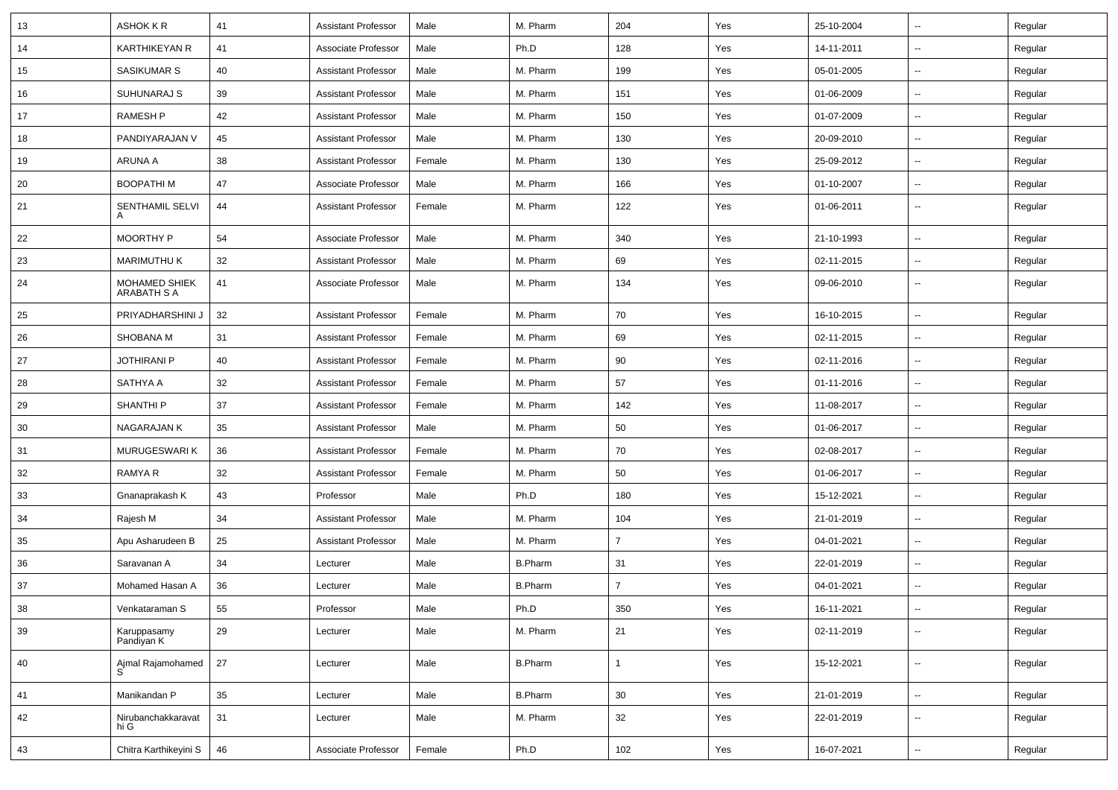| 13 | ASHOK K R                           | 41 | <b>Assistant Professor</b> | Male   | M. Pharm       | 204            | Yes | 25-10-2004 | ⊶.                       | Regular |
|----|-------------------------------------|----|----------------------------|--------|----------------|----------------|-----|------------|--------------------------|---------|
| 14 | <b>KARTHIKEYAN R</b>                | 41 | Associate Professor        | Male   | Ph.D           | 128            | Yes | 14-11-2011 | ⊷.                       | Regular |
| 15 | SASIKUMAR S                         | 40 | <b>Assistant Professor</b> | Male   | M. Pharm       | 199            | Yes | 05-01-2005 | $\overline{\phantom{a}}$ | Regular |
| 16 | SUHUNARAJ S                         | 39 | <b>Assistant Professor</b> | Male   | M. Pharm       | 151            | Yes | 01-06-2009 | $\overline{\phantom{a}}$ | Regular |
| 17 | <b>RAMESH P</b>                     | 42 | <b>Assistant Professor</b> | Male   | M. Pharm       | 150            | Yes | 01-07-2009 | -−                       | Regular |
| 18 | PANDIYARAJAN V                      | 45 | <b>Assistant Professor</b> | Male   | M. Pharm       | 130            | Yes | 20-09-2010 | $\sim$                   | Regular |
| 19 | ARUNA A                             | 38 | <b>Assistant Professor</b> | Female | M. Pharm       | 130            | Yes | 25-09-2012 | ⊶.                       | Regular |
| 20 | <b>BOOPATHIM</b>                    | 47 | Associate Professor        | Male   | M. Pharm       | 166            | Yes | 01-10-2007 | ⊶.                       | Regular |
| 21 | SENTHAMIL SELVI                     | 44 | <b>Assistant Professor</b> | Female | M. Pharm       | 122            | Yes | 01-06-2011 | $\overline{\phantom{a}}$ | Regular |
| 22 | <b>MOORTHY P</b>                    | 54 | Associate Professor        | Male   | M. Pharm       | 340            | Yes | 21-10-1993 | $\sim$                   | Regular |
| 23 | <b>MARIMUTHU K</b>                  | 32 | <b>Assistant Professor</b> | Male   | M. Pharm       | 69             | Yes | 02-11-2015 | −−                       | Regular |
| 24 | MOHAMED SHIEK<br><b>ARABATH S A</b> | 41 | Associate Professor        | Male   | M. Pharm       | 134            | Yes | 09-06-2010 | --                       | Regular |
| 25 | PRIYADHARSHINI J                    | 32 | <b>Assistant Professor</b> | Female | M. Pharm       | 70             | Yes | 16-10-2015 | -−                       | Regular |
| 26 | <b>SHOBANA M</b>                    | 31 | <b>Assistant Professor</b> | Female | M. Pharm       | 69             | Yes | 02-11-2015 | $\sim$                   | Regular |
| 27 | <b>JOTHIRANI P</b>                  | 40 | <b>Assistant Professor</b> | Female | M. Pharm       | 90             | Yes | 02-11-2016 | ⊶.                       | Regular |
| 28 | SATHYA A                            | 32 | <b>Assistant Professor</b> | Female | M. Pharm       | 57             | Yes | 01-11-2016 | ⊷.                       | Regular |
| 29 | <b>SHANTHI P</b>                    | 37 | <b>Assistant Professor</b> | Female | M. Pharm       | 142            | Yes | 11-08-2017 | ⊷.                       | Regular |
| 30 | NAGARAJAN K                         | 35 | <b>Assistant Professor</b> | Male   | M. Pharm       | 50             | Yes | 01-06-2017 | $\overline{\phantom{a}}$ | Regular |
| 31 | MURUGESWARI K                       | 36 | <b>Assistant Professor</b> | Female | M. Pharm       | 70             | Yes | 02-08-2017 | -−                       | Regular |
| 32 | RAMYA R                             | 32 | <b>Assistant Professor</b> | Female | M. Pharm       | 50             | Yes | 01-06-2017 | Ξ.                       | Regular |
| 33 | Gnanaprakash K                      | 43 | Professor                  | Male   | Ph.D           | 180            | Yes | 15-12-2021 | ⊶.                       | Regular |
| 34 | Rajesh M                            | 34 | <b>Assistant Professor</b> | Male   | M. Pharm       | 104            | Yes | 21-01-2019 | ⊷.                       | Regular |
| 35 | Apu Asharudeen B                    | 25 | <b>Assistant Professor</b> | Male   | M. Pharm       | $\overline{7}$ | Yes | 04-01-2021 | $\sim$                   | Regular |
| 36 | Saravanan A                         | 34 | Lecturer                   | Male   | <b>B.Pharm</b> | 31             | Yes | 22-01-2019 | $\overline{\phantom{a}}$ | Regular |
| 37 | Mohamed Hasan A                     | 36 | Lecturer                   | Male   | <b>B.Pharm</b> | $\overline{7}$ | Yes | 04-01-2021 | -−                       | Regular |
| 38 | Venkataraman S                      | 55 | Professor                  | Male   | Ph.D           | 350            | Yes | 16-11-2021 |                          | Regular |
| 39 | Karuppasamy<br>Pandiyan K           | 29 | Lecturer                   | Male   | M. Pharm       | 21             | Yes | 02-11-2019 | $\sim$                   | Regular |
| 40 | Ajmal Rajamohamed                   | 27 | Lecturer                   | Male   | <b>B.Pharm</b> | $\mathbf{1}$   | Yes | 15-12-2021 | $\sim$                   | Regular |
| 41 | Manikandan P                        | 35 | Lecturer                   | Male   | <b>B.Pharm</b> | 30             | Yes | 21-01-2019 | Щ,                       | Regular |
| 42 | Nirubanchakkaravat<br>hi G          | 31 | Lecturer                   | Male   | M. Pharm       | 32             | Yes | 22-01-2019 | $\overline{\phantom{a}}$ | Regular |
| 43 | Chitra Karthikeyini S               | 46 | Associate Professor        | Female | Ph.D           | 102            | Yes | 16-07-2021 | $\overline{\phantom{a}}$ | Regular |